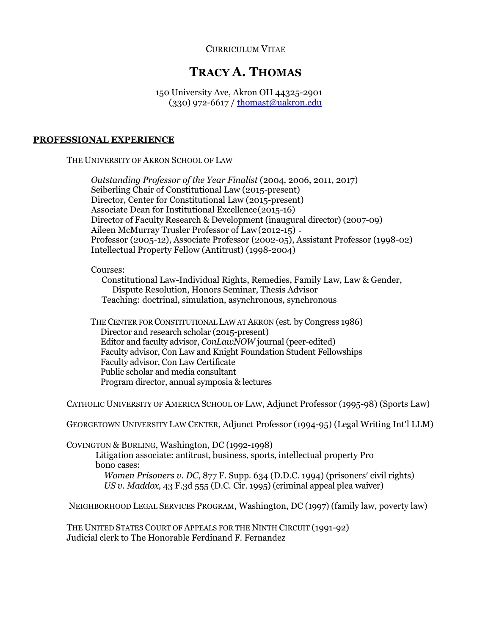# CURRICULUM VITAE

# **TRACY A. THOMAS**

150 University Ave, Akron OH 44325-2901 (330) 972-6617 / [thomast@uakron.edu](mailto:thomast@uakron.edu)

#### **PROFESSIONAL EXPERIENCE**

THE UNIVERSITY OF AKRON SCHOOL OF LAW

*Outstanding Professor of the Year Finalist* (2004, 2006, 2011, 2017) Seiberling Chair of Constitutional Law (2015-present) Director, Center for Constitutional Law (2015-present) Associate Dean for Institutional Excellence(2015-16) Director of Faculty Research & Development (inaugural director) (2007-09) Aileen McMurray Trusler Professor of Law(2012-15) Professor (2005-12), Associate Professor (2002-05), Assistant Professor (1998-02) Intellectual Property Fellow (Antitrust) (1998-2004) Courses: Constitutional Law-Individual Rights, Remedies, Family Law, Law & Gender, Dispute Resolution, Honors Seminar, Thesis Advisor

Teaching: doctrinal, simulation, asynchronous, synchronous

 THE CENTER FOR CONSTITUTIONAL LAW AT AKRON (est. by Congress 1986) Director and research scholar (2015-present) Editor and faculty advisor, *ConLawNOW* journal (peer-edited) Faculty advisor, Con Law and Knight Foundation Student Fellowships Faculty advisor, Con Law Certificate Public scholar and media consultant Program director, annual symposia & lectures

CATHOLIC UNIVERSITY OF AMERICA SCHOOL OF LAW, Adjunct Professor (1995-98) (Sports Law)

GEORGETOWN UNIVERSITY LAW CENTER, Adjunct Professor (1994-95) (Legal Writing Int'l LLM)

COVINGTON & BURLING, Washington, DC (1992-1998)

Litigation associate: antitrust, business, sports, intellectual property Pro bono cases:

*Women Prisoners v. DC*, 877 F. Supp. 634 (D.D.C. 1994) (prisoners' civil rights) *US v. Maddox,* 43 F.3d 555 (D.C. Cir. 1995) (criminal appeal plea waiver)

NEIGHBORHOOD LEGAL SERVICES PROGRAM, Washington, DC (1997) (family law, poverty law)

THE UNITED STATES COURT OF APPEALS FOR THE NINTH CIRCUIT (1991-92) Judicial clerk to The Honorable Ferdinand F. Fernandez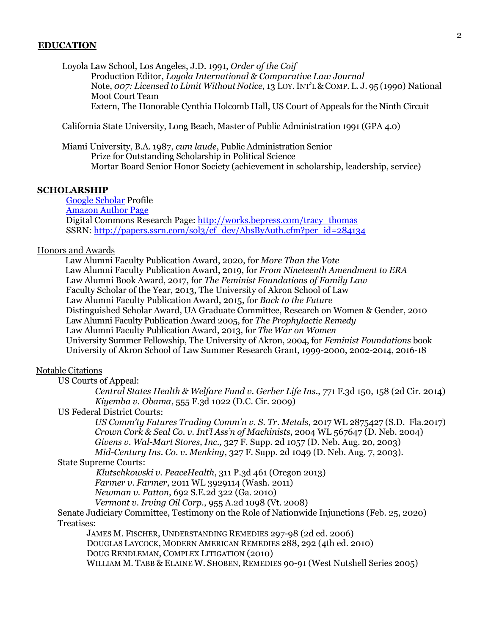#### **EDUCATION**

Loyola Law School, Los Angeles, J.D. 1991, *Order of the Coif* Production Editor, *Loyola International & Comparative Law Journal* Note, *007: Licensed to Limit Without Notice*, 13 LOY.INT'L& COMP. L. J. 95 (1990) National Moot Court Team Extern, The Honorable Cynthia Holcomb Hall, US Court of Appeals for the Ninth Circuit

California State University, Long Beach, Master of Public Administration 1991 (GPA 4.0)

Miami University, B.A. 1987, *cum laude*, Public Administration Senior Prize for Outstanding Scholarship in Political Science Mortar Board Senior Honor Society (achievement in scholarship, leadership, service)

#### **SCHOLARSHIP**

[Google Scholar](https://scholar.google.com/citations?user=HiPCgeUAAAAJ&hl=en&oi=sra) Profile [Amazon Author Page](https://www.amazon.com/Tracy-A.-Thomas/e/B00X50EK5I/ref%3Ddp_byline_cont_book_1) Digital Commons Research Page[: http://works.bepress.com/tracy\\_thomas](http://works.bepress.com/tracy_thomas) SSRN: [http://papers.ssrn.com/sol3/cf\\_dev/AbsByAuth.cfm?per\\_id=284134](http://papers.ssrn.com/sol3/cf_dev/AbsByAuth.cfm?per_id=284134)

#### Honors and Awards

Law Alumni Faculty Publication Award, 2020, for *More Than the Vote* Law Alumni Faculty Publication Award, 2019, for *From Nineteenth Amendment to ERA* Law Alumni Book Award, 2017, for *The Feminist Foundations of Family Law*  Faculty Scholar of the Year, 2013, The University of Akron School of Law Law Alumni Faculty Publication Award, 2015, for *Back to the Future* Distinguished Scholar Award, UA Graduate Committee, Research on Women & Gender, 2010 Law Alumni Faculty Publication Award 2005, for *The Prophylactic Remedy* Law Alumni Faculty Publication Award, 2013, for *The War on Women*  University Summer Fellowship, The University of Akron, 2004, for *Feminist Foundations* book University of Akron School of Law Summer Research Grant, 1999-2000, 2002-2014, 2016-18

## Notable Citations

US Courts of Appeal:

 *Central States Health & Welfare Fund v. Gerber Life Ins*., 771 F.3d 150, 158 (2d Cir. 2014) *Kiyemba v. Obama*, 555 F.3d 1022 (D.C. Cir. 2009)

US Federal District Courts:

*US Comm'ty Futures Trading Comm'n v. S. Tr. Metals*, 2017 WL 2875427 (S.D. Fla.2017) *Crown Cork & Seal Co. v. Int'l Ass'n of Machinists*, 2004 WL 567647 (D. Neb. 2004) *Givens v. Wal-Mart Stores, Inc.,* 327 F. Supp. 2d 1057 (D. Neb. Aug. 20, 2003)

*Mid-Century Ins. Co. v. Menking*, 327 F. Supp. 2d 1049 (D. Neb. Aug. 7, 2003). State Supreme Courts:

*Klutschkowski v. PeaceHealth*, 311 P.3d 461 (Oregon 2013)

*Farmer v. Farmer*, 2011 WL 3929114 (Wash. 2011)

*Newman v. Patton*, 692 S.E.2d 322 (Ga. 2010)

*Vermont v. Irving Oil Corp*., 955 A.2d 1098 (Vt. 2008)

Senate Judiciary Committee, Testimony on the Role of Nationwide Injunctions (Feb. 25, 2020) Treatises:

JAMES M. FISCHER, UNDERSTANDING REMEDIES 297-98 (2d ed. 2006) DOUGLAS LAYCOCK, MODERN AMERICAN REMEDIES 288, 292 (4th ed. 2010) DOUG RENDLEMAN, COMPLEX LITIGATION (2010) WILLIAM M. TABB & ELAINE W. SHOBEN, REMEDIES 90-91 (West Nutshell Series 2005)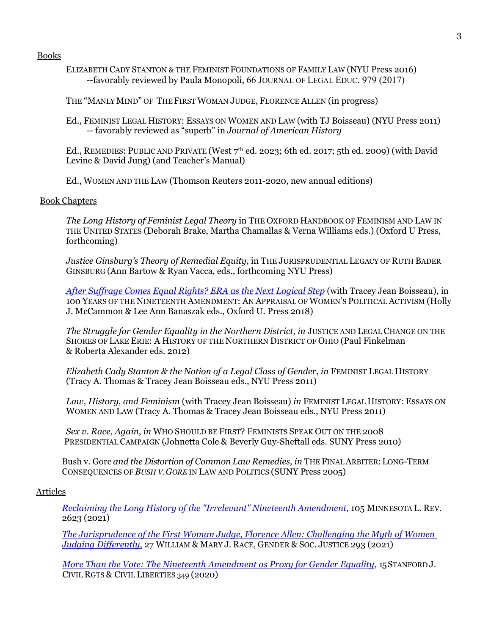Books

- ELIZABETH CADY STANTON & THE FEMINIST FOUNDATIONS OF FAMILY LAW (NYU Press 2016) --favorably reviewed by Paula Monopoli, 66 JOURNAL OF LEGAL EDUC. 979 (2017)
- THE "MANLYMIND" OF THE FIRST WOMAN JUDGE, FLORENCE ALLEN (in progress)
- Ed., FEMINIST LEGAL HISTORY: ESSAYS ON WOMEN AND LAW (with TJ Boisseau) (NYU Press 2011) -- favorably reviewed as "superb" in *Journal of American History*

Ed., REMEDIES: PUBLIC AND PRIVATE (West  $7<sup>th</sup>$  ed. 2023; 6th ed. 2017; 5th ed. 2009) (with David Levine & David Jung) (and Teacher's Manual)

Ed., WOMEN AND THE LAW (Thomson Reuters 2011-2020, new annual editions)

### Book Chapters

*The Long History of Feminist Legal Theory* in THE OXFORD HANDBOOK OF FEMINISM AND LAW IN THE UNITED STATES (Deborah Brake, Martha Chamallas & Verna Williams eds.) (Oxford U Press, forthcoming)

*Justice Ginsburg's Theory of Remedial Equity*, in THE JURISPRUDENTIAL LEGACY OF RUTH BADER GINSBURG (Ann Bartow & Ryan Vacca, eds., forthcoming NYU Press)

*[After Suffrage Comes Equal Rights? ERA as the Next Logical Step](https://papers.ssrn.com/sol3/papers.cfm?abstract_id=2673610)* (with Tracey Jean Boisseau), in 100 YEARS OF THE NINETEENTH AMENDMENT: AN APPRAISAL OF WOMEN'S POLITICAL ACTIVISM (Holly J. McCammon & Lee Ann Banaszak eds., Oxford U. Press 2018)

The Struggle for Gender Equality in the Northern District, in JUSTICE AND LEGAL CHANGE ON THE SHORES OF LAKE ERIE: A HISTORY OF THE NORTHERN DISTRICT OF OHIO (Paul Finkelman & Roberta Alexander eds. 2012)

*Elizabeth Cady Stanton & the Notion of a Legal Class of Gender*, *in* FEMINIST LEGAL HISTORY (Tracy A. Thomas & Tracey Jean Boisseau eds., NYU Press 2011)

*Law, History, and Feminism* (with Tracey Jean Boisseau) *in* FEMINIST LEGAL HISTORY: ESSAYS ON WOMEN AND LAW (Tracy A. Thomas & Tracey Jean Boisseau eds., NYU Press 2011)

*Sex v. Race, Again*, *in* WHO SHOULD BE FIRST? FEMINISTS SPEAK OUT ON THE 2008 PRESIDENTIAL CAMPAIGN (Johnetta Cole & Beverly Guy-Sheftall eds. SUNY Press 2010)

Bush v. Gore *and the Distortion of Common Law Remedies, in* THE FINALARBITER:LONG-TERM CONSEQUENCES OF *BUSH V.GORE* IN LAW AND POLITICS (SUNY Press 2005)

### Articles

*[Reclaiming the Long History of the "Irrelevant" Nineteenth Amendment](https://minnesotalawreview.org/article/reclaiming-the-long-history-of-the-irrelevant-nineteenth-amendment-for-gender-equality/)*, 105 MINNESOTA L. REV. 2623 (2021)

*[The Jurisprudence of the First Woman Judge, Florence Allen: Challenging the Myth of Women](https://scholarship.law.wm.edu/wmjowl/vol27/iss2/3/)  [Judging Differently](https://scholarship.law.wm.edu/wmjowl/vol27/iss2/3/)*, 27 WILLIAM & MARY J. RACE, GENDER & SOC. JUSTICE 293 (2021)

*[More Than the Vote: The Nineteenth Amendment as Proxy for Gender Equality](https://papers.ssrn.com/sol3/papers.cfm?abstract_id=3364546)*, 15STANFORD J. CIVIL RGTS & CIVIL LIBERTIES 349 (2020)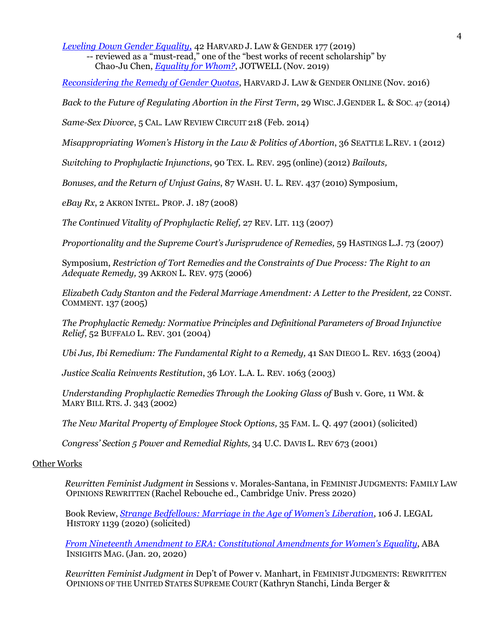*[Leveling Down Gender Equality,](https://papers.ssrn.com/sol3/papers.cfm?abstract_id=3157987)* 42 HARVARD J. LAW & GENDER 177 (2019)

-- reviewed as a "must-read," one of the "best works of recent scholarship" by Chao-Ju Chen, *[Equality for Whom?](https://equality.jotwell.com/equality-for-whom-the-curious-case-of-rbgs-equality-and-morales-santanas-nationality/)*, JOTWELL (Nov. 2019)

*[Reconsidering the Remedy of Gender Quotas](https://papers.ssrn.com/sol3/papers.cfm?abstract_id=2795054)*, HARVARD J. LAW & GENDER ONLINE (Nov. 2016)

*Back to the Future of Regulating Abortion in the First Term*, 29 WISC. J.GENDER L. & SOC. 47 (2014)

*Same-Sex Divorce*, 5 CAL. LAW REVIEW CIRCUIT 218 (Feb. 2014)

*Misappropriating Women's History in the Law & Politics of Abortion*, 36 SEATTLE L.REV. 1 (2012)

*Switching to Prophylactic Injunctions*, 90 TEX. L. REV. 295 (online) (2012) *Bailouts,*

*Bonuses, and the Return of Unjust Gains*, 87 WASH. U. L. REV. 437 (2010) Symposium,

*eBay Rx*, 2 AKRON INTEL. PROP. J. 187 (2008)

*The Continued Vitality of Prophylactic Relief,* 27 REV. LIT. 113 (2007)

*Proportionality and the Supreme Court's Jurisprudence of Remedies, 59 HASTINGS L.J. 73 (2007)* 

Symposium, *Restriction of Tort Remedies and the Constraints of Due Process: The Right to an Adequate Remedy,* 39 AKRON L. REV. 975 (2006)

*Elizabeth Cady Stanton and the Federal Marriage Amendment: A Letter to the President,* 22 CONST. COMMENT. 137 (2005)

*The Prophylactic Remedy: Normative Principles and Definitional Parameters of Broad Injunctive Relief,* 52 BUFFALO L. REV. 301 (2004)

*Ubi Jus, Ibi Remedium: The Fundamental Right to a Remedy, 41 SAN DIEGO L. REV. 1633 (2004)* 

*Justice Scalia Reinvents Restitution*, 36 LOY. L.A. L. REV. 1063 (2003)

*Understanding Prophylactic Remedies Through the Looking Glass of* Bush v. Gore*,* 11 WM. & MARY BILL RTS. J. 343 (2002)

*The New Marital Property of Employee Stock Options,* 35 FAM. L. Q. 497 (2001) (solicited)

*Congress' Section 5 Power and Remedial Rights,* 34 U.C. DAVIS L. REV 673 (2001)

#### Other Works

*Rewritten Feminist Judgment in* Sessions v. Morales-Santana, in FEMINIST JUDGMENTS: FAMILY LAW OPINIONS REWRITTEN (Rachel Rebouche ed., Cambridge Univ. Press 2020)

Book Review, *[Strange Bedfellows: Marriage in the Age of Women's Liberation](https://academic.oup.com/jah/article-abstract/106/4/1139/5741545)*, 106 J. LEGAL HISTORY 1139 (2020) (solicited)

*[From Nineteenth Amendment to ERA: Constitutional Amendments for Women's Equality](https://www.americanbar.org/groups/public_education/publications/insights-on-law-and-society/volume-20/issue-1/from-19th-amendment-to-era/)*, ABA INSIGHTS MAG. (Jan. 20, 2020)

*Rewritten Feminist Judgment in* Dep't of Power v. Manhart, in FEMINIST JUDGMENTS: REWRITTEN OPINIONS OF THE UNITED STATES SUPREME COURT (Kathryn Stanchi, Linda Berger &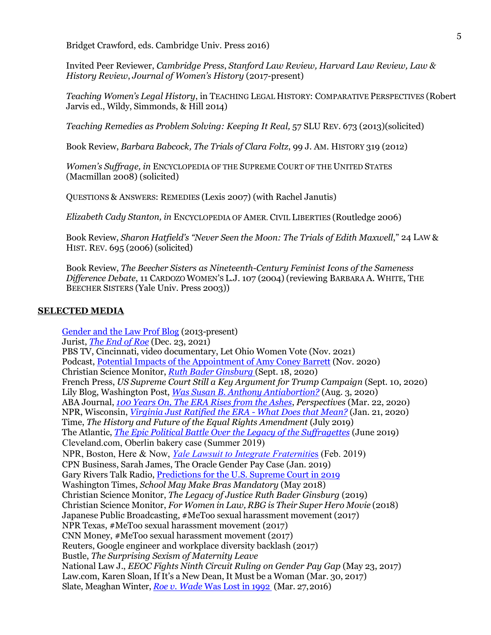Bridget Crawford, eds. Cambridge Univ. Press 2016)

Invited Peer Reviewer, *Cambridge Press*, *Stanford Law Review, Harvard Law Review, Law & History Review*, *Journal of Women's History* (2017-present)

*Teaching Women's Legal History*, in TEACHING LEGAL HISTORY: COMPARATIVE PERSPECTIVES (Robert Jarvis ed., Wildy, Simmonds, & Hill 2014)

*Teaching Remedies as Problem Solving: Keeping It Real,* 57 SLU REV. 673 (2013)(solicited)

Book Review, *Barbara Babcock, The Trials of Clara Foltz*, 99 J. AM. HISTORY 319 (2012)

*Women's Suffrage, in* ENCYCLOPEDIA OF THE SUPREME COURT OF THE UNITED STATES (Macmillan 2008) (solicited)

QUESTIONS & ANSWERS: REMEDIES (Lexis 2007) (with Rachel Janutis)

*Elizabeth Cady Stanton, in* ENCYCLOPEDIA OF AMER. CIVIL LIBERTIES (Routledge 2006)

Book Review, *Sharon Hatfield's "Never Seen the Moon: The Trials of Edith Maxwell*," 24 LAW & HIST. REV. 695 (2006) (solicited)

Book Review, *The Beecher Sisters as Nineteenth-Century Feminist Icons of the Sameness Difference Debate*, 11 CARDOZO WOMEN'S L.J. 107 (2004) (reviewing BARBARA A. WHITE, THE BEECHER SISTERS (Yale Univ. Press 2003))

# **SELECTED MEDIA**

[Gender and the Law Prof Blog](http://lawprofessors.typepad.com/gender_law) (2013-present) Jurist, *[The End of Roe](https://nam11.safelinks.protection.outlook.com/?url=https%3A%2F%2Fwww.jurist.org%2Fcommentary%2F2021%2F12%2Ftracy-thomas-end-of-roe%2F&data=04%7C01%7Cthomast%40uakron.edu%7Cfce48cd6f58c4a28b2f808d9c94bdc04%7Ce8575dedd7f94ecea4aa0b32991aeedd%7C0%7C0%7C637762151413209543%7CUnknown%7CTWFpbGZsb3d8eyJWIjoiMC4wLjAwMDAiLCJQIjoiV2luMzIiLCJBTiI6Ik1haWwiLCJXVCI6Mn0%3D%7C3000&sdata=%2FLQz6XPyqvYipByh73KfWHk4fGc9CRevu1nni8kJt4A%3D&reserved=0)* (Dec. 23, 2021) PBS TV, Cincinnati, video documentary, Let Ohio Women Vote (Nov. 2021) Podcast, [Potential Impacts of the Appointment of Amy Coney Barrett](https://anchor.fm/womenwithissues/episodes/Potential-Impacts-of-The-New-Conservative-Supreme-Court-elstlg) (Nov. 2020) Christian Science Monitor, *[Ruth Bader Ginsburg](https://www.csmonitor.com/USA/Justice/2020/0918/Ruth-Bader-Ginsburg-Fierce-women-s-advocate-and-icon-in-her-own-right)* (Sept. 18, 2020) French Press, *US Supreme Court Still a Key Argument for Trump Campaign* (Sept. 10, 2020) Lily Blog, Washington Post, *[Was Susan B. Anthony Antiabortion?](https://www.thelily.com/was-susan-b-anthony-antiabortion-two-sides-are-dueling-over-the-answer-and-the-definition-of-feminism/)* (Aug. 3, 2020) ABA Journal, *[100 Years On, The ERA Rises from the Ashes](https://nam03.safelinks.protection.outlook.com/?url=https%3A%2F%2Fwww.americanbar.org%2Fgroups%2Fdiversity%2Fwomen%2Fpublications%2Fperspectives%2F2020%2Fmarch%2F100-years-the-era-rises-the-ashes%2F&data=02%7C01%7Cthomast%40uakron.edu%7C5d78a1d800924d26b84008d82f159ee6%7Ce8575dedd7f94ecea4aa0b32991aeedd%7C0%7C0%7C637311117206469268&sdata=3oRc8GcaN8qxAF5X6FBViYGBRydWIrTRGF23GVMwzQM%3D&reserved=0)*, *Perspectives* (Mar. 22, 2020) NPR, Wisconsin, *[Virginia Just Ratified the ERA -](https://www.wpr.org/virginia-just-ratified-equal-rights-amendment-what-does-mean) What Does that Mean?* (Jan. 21, 2020) Time, *The History and Future of the Equal Rights Amendment* (July 2019) The Atlantic, *[The Epic Political Battle Over the Legacy of the Suffragettes](https://www.theatlantic.com/politics/archive/2019/06/abortion-debate-and-legacy-womens-suffrage/590422/)* (June 2019) Cleveland.com, Oberlin bakery case (Summer 2019) NPR, Boston, Here & Now, *[Yale Lawsuit to Integrate Fraterniti](https://www.wbur.org/hereandnow/2019/02/15/yale-fraternities-sexual-misconduct-lawsuit)*es (Feb. 2019) CPN Business, Sarah James, The Oracle Gender Pay Case (Jan. 2019) Gary Rivers Talk Radio, [Predictions for the U.S. Supreme Court in 2019](https://www.whbc.com/shows/gary-rivers-show)  Washington Times, *School May Make Bras Mandatory* (May 2018) Christian Science Monitor, *The Legacy of Justice Ruth Bader Ginsburg* (2019) Christian Science Monitor, *For Women in Law, RBG is Their Super Hero Movie* (2018) Japanese Public Broadcasting, #MeToo sexual harassment movement (2017) NPR Texas, #MeToo sexual harassment movement (2017) CNN Money, #MeToo sexual harassment movement (2017) Reuters, Google engineer and workplace diversity backlash (2017) Bustle, *The Surprising Sexism of Maternity Leave* National Law J., *EEOC Fights Ninth Circuit Ruling on Gender Pay Gap* (May 23, 2017) Law.com, Karen Sloan, If It's a New Dean, It Must be a Woman (Mar. 30, 2017) Slate, Meaghan Winter, *Roe v. Wade* [Was Lost in 1992](http://www.slate.com/articles/double_x/cover_story/2016/03/how_the_undue_burden_concept_eroded_roe_v_wade.html) (Mar. 27,2016)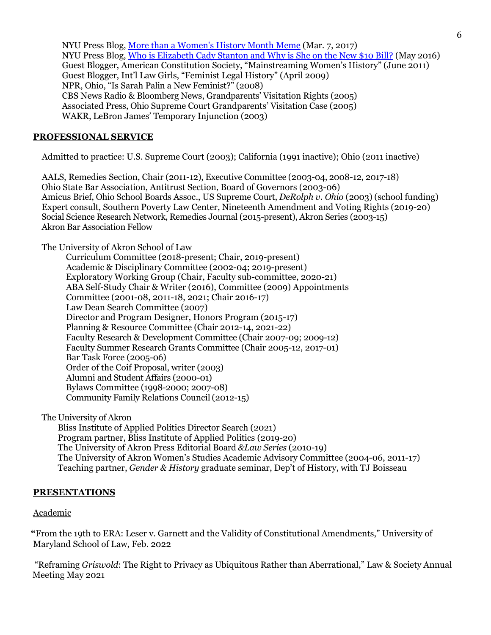NYU Press Blog[, More than a Women's History Month Meme](https://www.fromthesquare.org/elizabeth-cady-stanton/?utm_content=buffer24177&%3Butm_medium=social&%3Butm_source=twitter.com&%3Butm_campaign=buffer&%3B.WNGDf28rJ0w) (Mar. 7, 2017) NYU Press Blog[, Who is Elizabeth Cady Stanton and Why is She on the New \\$10 Bill?](https://www.fromthesquare.org/who-is-elizabeth-cady-stanton-and-why-is-she-on-the-new-10-bill/#.WNGEOW8rJ0w) (May 2016) Guest Blogger, American Constitution Society, "Mainstreaming Women's History" (June 2011) Guest Blogger, Int'l Law Girls, "Feminist Legal History" (April 2009) NPR, Ohio, "Is Sarah Palin a New Feminist?" (2008) CBS News Radio & Bloomberg News, Grandparents' Visitation Rights (2005) Associated Press, Ohio Supreme Court Grandparents' Visitation Case (2005) WAKR, LeBron James' Temporary Injunction (2003)

# **PROFESSIONAL SERVICE**

Admitted to practice: U.S. Supreme Court (2003); California (1991 inactive); Ohio (2011 inactive)

AALS, Remedies Section, Chair (2011-12), Executive Committee (2003-04, 2008-12, 2017-18) Ohio State Bar Association, Antitrust Section, Board of Governors (2003-06) Amicus Brief, Ohio School Boards Assoc., US Supreme Court, *DeRolph v. Ohio* (2003) (school funding) Expert consult, Southern Poverty Law Center, Nineteenth Amendment and Voting Rights (2019-20) Social Science Research Network, Remedies Journal (2015-present), Akron Series (2003-15) Akron Bar Association Fellow

The University of Akron School of Law

Curriculum Committee (2018-present; Chair, 2019-present) Academic & Disciplinary Committee (2002-04; 2019-present) Exploratory Working Group (Chair, Faculty sub-committee, 2020-21) ABA Self-Study Chair & Writer (2016), Committee (2009) Appointments Committee (2001-08, 2011-18, 2021; Chair 2016-17) Law Dean Search Committee (2007) Director and Program Designer, Honors Program (2015-17) Planning & Resource Committee (Chair 2012-14, 2021-22) Faculty Research & Development Committee (Chair 2007-09; 2009-12) Faculty Summer Research Grants Committee (Chair 2005-12, 2017-01) Bar Task Force (2005-06) Order of the Coif Proposal, writer (2003) Alumni and Student Affairs (2000-01) Bylaws Committee (1998-2000; 2007-08) Community Family Relations Council(2012-15)

The University of Akron

Bliss Institute of Applied Politics Director Search (2021) Program partner, Bliss Institute of Applied Politics (2019-20) The University of Akron Press Editorial Board *&Law Series* (2010-19) The University of Akron Women's Studies Academic Advisory Committee (2004-06, 2011-17) Teaching partner, *Gender & History* graduate seminar, Dep't of History, with TJ Boisseau

# **PRESENTATIONS**

### Academic

**"**From the 19th to ERA: Leser v. Garnett and the Validity of Constitutional Amendments," University of Maryland School of Law, Feb. 2022

"Reframing *Griswold*: The Right to Privacy as Ubiquitous Rather than Aberrational," Law & Society Annual Meeting May 2021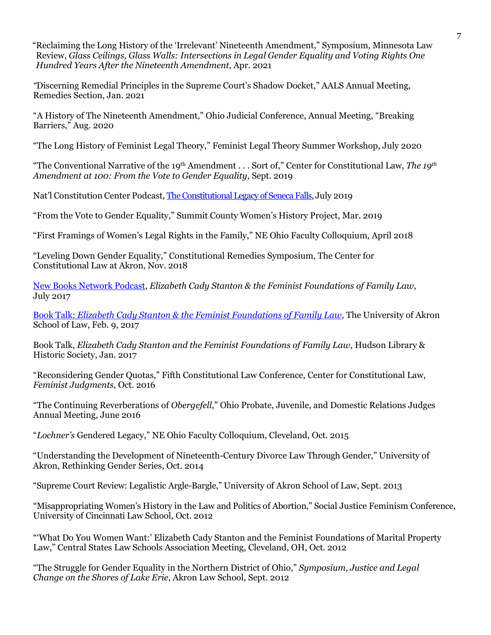"Reclaiming the Long History of the 'Irrelevant' Nineteenth Amendment," Symposium, Minnesota Law Review, *Glass Ceilings, Glass Walls: Intersections in Legal Gender Equality and Voting Rights One Hundred Years After the Nineteenth Amendment*, Apr. 2021

*"*Discerning Remedial Principles in the Supreme Court's Shadow Docket," AALS Annual Meeting, Remedies Section, Jan. 2021

"A History of The Nineteenth Amendment," Ohio Judicial Conference, Annual Meeting, "Breaking Barriers," Aug. 2020

"The Long History of Feminist Legal Theory," Feminist Legal Theory Summer Workshop, July 2020

"The Conventional Narrative of the 19th Amendment . . . Sort of," Center for Constitutional Law, *The 19th Amendment at 100: From the Vote to Gender Equality*, Sept. 2019

Nat'l Constitution Center Podcast, [The Constitutional Legacy of Seneca Falls,](https://nam03.safelinks.protection.outlook.com/?url=https%3A%2F%2Fpodcasts.apple.com%2Fus%2Fpodcast%2Fthe-constitutional-legacy-of-seneca-falls%2Fid83213431%3Fi%3D1000445322185&data=02%7C01%7Crobin4%40uakron.edu%7Ccd466bbec3c34995294608d711d2372f%7Ce8575dedd7f94ecea4aa0b32991aeedd%7C0%7C0%7C636997466870026987&sdata=PNTYK7iNJA%2FuRjKf6WICdXTmpF9CV%2B56pEPdtqYwVeo%3D&reserved=0) July 2019

"From the Vote to Gender Equality," Summit County Women's History Project, Mar. 2019

"First Framings of Women's Legal Rights in the Family," NE Ohio Faculty Colloquium, April 2018

"Leveling Down Gender Equality," Constitutional Remedies Symposium, The Center for Constitutional Law at Akron, Nov. 2018

[New Books Network Podcast,](http://newbooksnetwork.com/tracy-a-thomas-elizabeth-cady-stanton-and-the-feminist-foundations-of-family-law-nyu-press-2016/) *Elizabeth Cady Stanton & the Feminist Foundations of Family Law*, July 2017

Book Talk: *[Elizabeth Cady Stanton & the Feminist Foundations of Family Law](https://www.youtube.com/watch?v=JDJ0Pyzux4s&%3Bfeature=youtu.be)*, The University of Akron School of Law, Feb. 9, 2017

Book Talk, *Elizabeth Cady Stanton and the Feminist Foundations of Family Law*, Hudson Library & Historic Society, Jan. 2017

"Reconsidering Gender Quotas," Fifth Constitutional Law Conference, Center for Constitutional Law, *Feminist Judgments*, Oct. 2016

"The Continuing Reverberations of *Obergefell*," Ohio Probate, Juvenile, and Domestic Relations Judges Annual Meeting, June 2016

"*Lochner's* Gendered Legacy," NE Ohio Faculty Colloquium, Cleveland, Oct. 2015

"Understanding the Development of Nineteenth-Century Divorce Law Through Gender," University of Akron, Rethinking Gender Series, Oct. 2014

"Supreme Court Review: Legalistic Argle-Bargle," University of Akron School of Law, Sept. 2013

"Misappropriating Women's History in the Law and Politics of Abortion," Social Justice Feminism Conference, University of Cincinnati Law School, Oct. 2012

"'What Do You Women Want:' Elizabeth Cady Stanton and the Feminist Foundations of Marital Property Law," Central States Law Schools Association Meeting, Cleveland, OH, Oct. 2012

"The Struggle for Gender Equality in the Northern District of Ohio," *Symposium, Justice and Legal Change on the Shores of Lake Erie*, Akron Law School, Sept. 2012